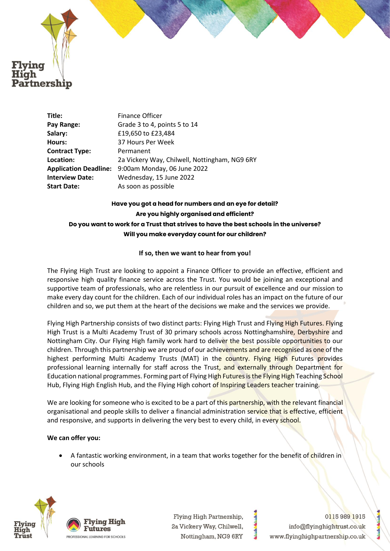

**Title:** Finance Officer **Pay Range:** Grade 3 to 4, points 5 to 14 **Salary:** £19,650 to £23,484 **Hours:** 37 Hours Per Week **Contract Type:** Permanent **Location:** 2a Vickery Way, Chilwell, Nottingham, NG9 6RY **Application Deadline:** 9:00am Monday, 06 June 2022 **Interview Date:** Wednesday, 15 June 2022 **Start Date:** As soon as possible

# **Have you got a head for numbers and an eye for detail? Are you highly organised and efficient? Do you want to work for a Trust that strives to have the best schools in the universe? Will you make everyday count for our children?**

### **If so, then we want to hear from you!**

The Flying High Trust are looking to appoint a Finance Officer to provide an effective, efficient and responsive high quality finance service across the Trust. You would be joining an exceptional and supportive team of professionals, who are relentless in our pursuit of excellence and our mission to make every day count for the children. Each of our individual roles has an impact on the future of our children and so, we put them at the heart of the decisions we make and the services we provide.

Flying High Partnership consists of two distinct parts: Flying High Trust and Flying High Futures. Flying High Trust is a Multi Academy Trust of 30 primary schools across Nottinghamshire, Derbyshire and Nottingham City. Our Flying High family work hard to deliver the best possible opportunities to our children. Through this partnership we are proud of our achievements and are recognised as one of the highest performing Multi Academy Trusts (MAT) in the country. Flying High Futures provides professional learning internally for staff across the Trust, and externally through Department for Education national programmes. Forming part of Flying High Futures is the Flying High Teaching School Hub, Flying High English Hub, and the Flying High cohort of Inspiring Leaders teacher training.

We are looking for someone who is excited to be a part of this partnership, with the relevant financial organisational and people skills to deliver a financial administration service that is effective, efficient and responsive, and supports in delivering the very best to every child, in every school.

## **We can offer you:**

• A fantastic working environment, in a team that works together for the benefit of children in our schools





Flying High Partnership, 2a Vickery Way, Chilwell, Nottingham, NG9 6RY

01159891915 info@flyinghightrust.co.uk www.flyinghighpartnership.co.uk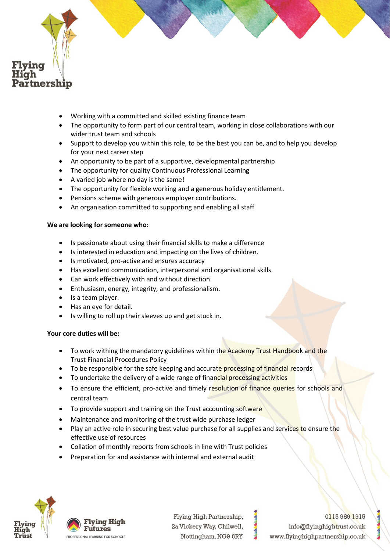

- Working with a committed and skilled existing finance team
- The opportunity to form part of our central team, working in close collaborations with our wider trust team and schools
- Support to develop you within this role, to be the best you can be, and to help you develop for your next career step
- An opportunity to be part of a supportive, developmental partnership
- The opportunity for quality Continuous Professional Learning
- A varied job where no day is the same!
- The opportunity for flexible working and a generous holiday entitlement.
- Pensions scheme with generous employer contributions.
- An organisation committed to supporting and enabling all staff

## **We are looking for someone who:**

- Is passionate about using their financial skills to make a difference
- Is interested in education and impacting on the lives of children.
- Is motivated, pro-active and ensures accuracy
- Has excellent communication, interpersonal and organisational skills.
- Can work effectively with and without direction.
- Enthusiasm, energy, integrity, and professionalism.
- Is a team player.
- Has an eye for detail.
- Is willing to roll up their sleeves up and get stuck in.

## **Your core duties will be:**

- To work withing the mandatory guidelines within the Academy Trust Handbook and the Trust Financial Procedures Policy
- To be responsible for the safe keeping and accurate processing of financial records
- To undertake the delivery of a wide range of financial processing activities
- To ensure the efficient, pro-active and timely resolution of finance queries for schools and central team
- To provide support and training on the Trust accounting software
- Maintenance and monitoring of the trust wide purchase ledger
- Play an active role in securing best value purchase for all supplies and services to ensure the effective use of resources
- Collation of monthly reports from schools in line with Trust policies
- Preparation for and assistance with internal and external audit



**Flying High** Futures ROFESSIONAL LEARNING FOR SCHOOLS

Flying High Partnership, 2a Vickery Way, Chilwell, Nottingham, NG9 6RY

01159891915 info@flyinghightrust.co.uk www.flyinghighpartnership.co.uk